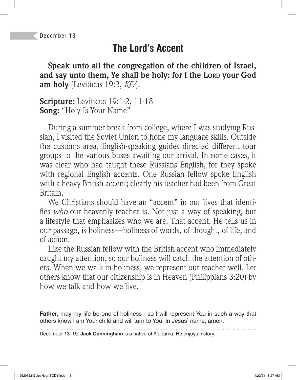## **The Lord's Accent**

**Speak unto all the congregation of the children of Israel, and say unto them, Ye shall be holy: for I the LORD your God am holy** (Leviticus 19:2, *KJV*).

**Scripture:** Leviticus 19:1-2, 11-18 **Song:** "Holy Is Your Name"

During a summer break from college, where I was studying Russian, I visited the Soviet Union to hone my language skills. Outside the customs area, English-speaking guides directed different tour groups to the various buses awaiting our arrival. In some cases, it was clear who had taught these Russians English, for they spoke with regional English accents. One Russian fellow spoke English with a heavy British accent; clearly his teacher had been from Great Britain.

We Christians should have an "accent" in our lives that identifies *who* our heavenly teacher is. Not just a way of speaking, but a lifestyle that emphasizes who we are. That accent, He tells us in our passage, is holiness—holiness of words, of thought, of life, and of action.

Like the Russian fellow with the British accent who immediately caught my attention, so our holiness will catch the attention of others. When we walk in holiness, we represent our teacher well. Let others know that our citizenship is in Heaven (Philippians 3:20) by how we talk and how we live.

**Father,** may my life be one of holiness—so I will represent You in such a way that others know I am Your child and will turn to You. In Jesus' name, amen.

December 13–19. **Jack Cunningham** is a native of Alabama. He enjoys history.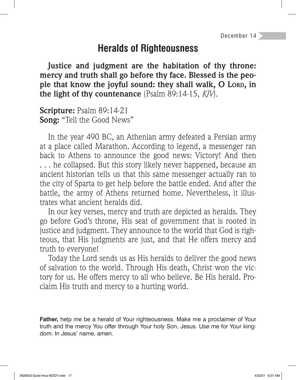#### **Heralds of Righteousness**

**Justice and judgment are the habitation of thy throne: mercy and truth shall go before thy face. Blessed is the people that know the joyful sound: they shall walk, O LORD, in the light of thy countenance** (Psalm 89:14-15, *KJV*).

**Scripture:** Psalm 89:14-21 **Song:** "Tell the Good News"

In the year 490 BC, an Athenian army defeated a Persian army at a place called Marathon. According to legend, a messenger ran back to Athens to announce the good news: Victory! And then . . . he collapsed. But this story likely never happened, because an ancient historian tells us that this same messenger actually ran to the city of Sparta to get help before the battle ended. And after the battle, the army of Athens returned home. Nevertheless, it illustrates what ancient heralds did.

In our key verses, mercy and truth are depicted as heralds. They go before God's throne, His seat of government that is rooted in justice and judgment. They announce to the world that God is righteous, that His judgments are just, and that He offers mercy and truth to everyone!

Today the Lord sends us as His heralds to deliver the good news of salvation to the world. Through His death, Christ won the victory for us. He offers mercy to all who believe. Be His herald. Proclaim His truth and mercy to a hurting world.

**Father,** help me be a herald of Your righteousness. Make me a proclaimer of Your truth and the mercy You offer through Your holy Son, Jesus. Use me for Your kingdom. In Jesus' name, amen.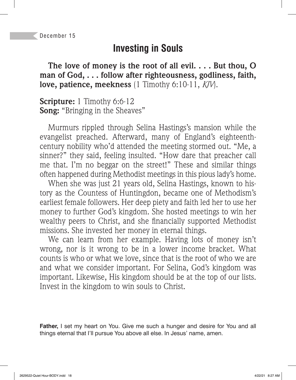## **Investing in Souls**

**The love of money is the root of all evil. . . . But thou, O man of God, . . . follow after righteousness, godliness, faith, love, patience, meekness** (1 Timothy 6:10-11, *KJV*).

**Scripture:** 1 Timothy 6:6-12 **Song:** "Bringing in the Sheaves"

Murmurs rippled through Selina Hastings's mansion while the evangelist preached. Afterward, many of England's eighteenthcentury nobility who'd attended the meeting stormed out. "Me, a sinner?" they said, feeling insulted. "How dare that preacher call me that. I'm no beggar on the street!" These and similar things often happened during Methodist meetings in this pious lady's home.

When she was just 21 years old, Selina Hastings, known to history as the Countess of Huntingdon, became one of Methodism's earliest female followers. Her deep piety and faith led her to use her money to further God's kingdom. She hosted meetings to win her wealthy peers to Christ, and she financially supported Methodist missions. She invested her money in eternal things.

We can learn from her example. Having lots of money isn't wrong, nor is it wrong to be in a lower income bracket. What counts is who or what we love, since that is the root of who we are and what we consider important. For Selina, God's kingdom was important. Likewise, His kingdom should be at the top of our lists. Invest in the kingdom to win souls to Christ.

**Father,** I set my heart on You. Give me such a hunger and desire for You and all things eternal that I'll pursue You above all else. In Jesus' name, amen.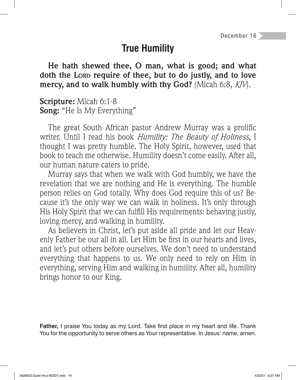## **True Humility**

**He hath shewed thee, O man, what is good; and what doth the LORD require of thee, but to do justly, and to love mercy, and to walk humbly with thy God?** (Micah 6:8, *KJV*).

**Scripture:** Micah 6:1-8 **Song:** "He Is My Everything"

The great South African pastor Andrew Murray was a prolific writer. Until I read his book *Humility: The Beauty of Holiness,* I thought I was pretty humble. The Holy Spirit, however, used that book to teach me otherwise. Humility doesn't come easily. After all, our human nature caters to pride.

Murray says that when we walk with God humbly, we have the revelation that we are nothing and He is everything. The humble person relies on God totally. Why does God require this of us? Because it's the only way we can walk in holiness. It's only through His Holy Spirit that we can fulfill His requirements: behaving justly, loving mercy, and walking in humility.

As believers in Christ, let's put aside all pride and let our Heavenly Father be our all in all. Let Him be first in our hearts and lives, and let's put others before ourselves. We don't need to understand everything that happens to us. We only need to rely on Him in everything, serving Him and walking in humility. After all, humility brings honor to our King.

**Father, I** praise You today as my Lord. Take first place in my heart and life. Thank You for the opportunity to serve others as Your representative. In Jesus' name, amen.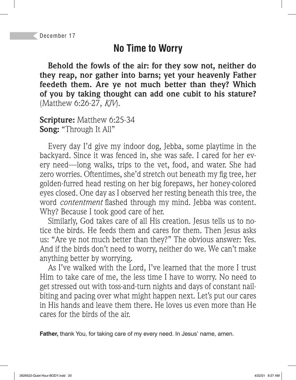# **No Time to Worry**

**Behold the fowls of the air: for they sow not, neither do they reap, nor gather into barns; yet your heavenly Father feedeth them. Are ye not much better than they? Which of you by taking thought can add one cubit to his stature?**  (Matthew 6:26-27, *KJV*).

**Scripture:** Matthew 6:25-34 **Song:** "Through It All"

Every day I'd give my indoor dog, Jebba, some playtime in the backyard. Since it was fenced in, she was safe. I cared for her every need—long walks, trips to the vet, food, and water. She had zero worries. Oftentimes, she'd stretch out beneath my fig tree, her golden-furred head resting on her big forepaws, her honey-colored eyes closed. One day as I observed her resting beneath this tree, the word *contentment* flashed through my mind. Jebba was content. Why? Because I took good care of her.

Similarly, God takes care of all His creation. Jesus tells us to notice the birds. He feeds them and cares for them. Then Jesus asks us: "Are ye not much better than they?" The obvious answer: Yes. And if the birds don't need to worry, neither do we. We can't make anything better by worrying.

As I've walked with the Lord, I've learned that the more I trust Him to take care of me, the less time I have to worry. No need to get stressed out with toss-and-turn nights and days of constant nailbiting and pacing over what might happen next. Let's put our cares in His hands and leave them there. He loves us even more than He cares for the birds of the air.

**Father,** thank You, for taking care of my every need. In Jesus' name, amen.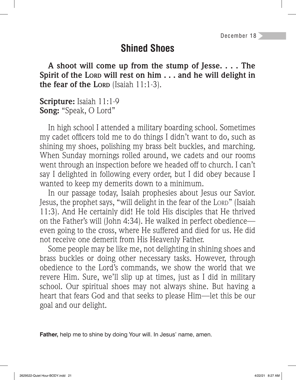# **Shined Shoes**

**A shoot will come up from the stump of Jesse. . . . The Spirit of the LORD will rest on him . . . and he will delight in the fear of the LORD** (Isaiah 11:1-3).

**Scripture:** Isaiah 11:1-9 **Song:** "Speak, O Lord"

In high school I attended a military boarding school. Sometimes my cadet officers told me to do things I didn't want to do, such as shining my shoes, polishing my brass belt buckles, and marching. When Sunday mornings rolled around, we cadets and our rooms went through an inspection before we headed off to church. I can't say I delighted in following every order, but I did obey because I wanted to keep my demerits down to a minimum.

In our passage today, Isaiah prophesies about Jesus our Savior. Jesus, the prophet says, "will delight in the fear of the LORD" (Isaiah 11:3). And He certainly did! He told His disciples that He thrived on the Father's will (John 4:34). He walked in perfect obedience even going to the cross, where He suffered and died for us. He did not receive one demerit from His Heavenly Father.

Some people may be like me, not delighting in shining shoes and brass buckles or doing other necessary tasks. However, through obedience to the Lord's commands, we show the world that we revere Him. Sure, we'll slip up at times, just as I did in military school. Our spiritual shoes may not always shine. But having a heart that fears God and that seeks to please Him—let this be our goal and our delight.

**Father,** help me to shine by doing Your will. In Jesus' name, amen.